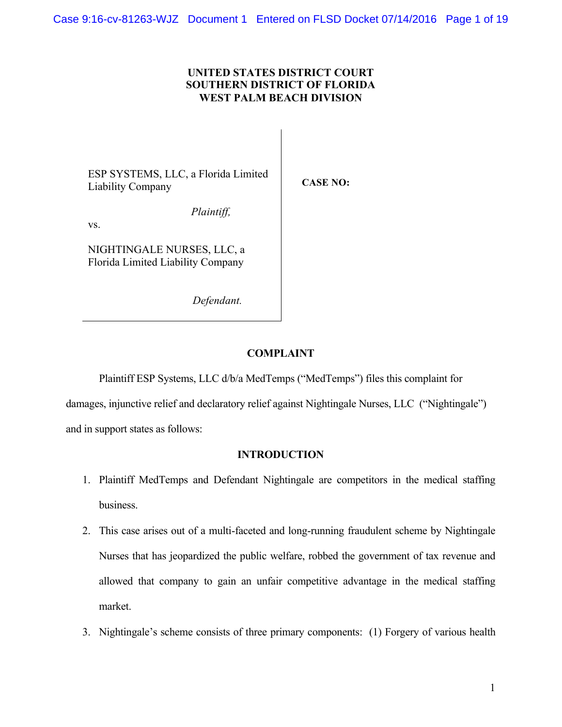## **UNITED STATES DISTRICT COURT SOUTHERN DISTRICT OF FLORIDA WEST PALM BEACH DIVISION**

**CASE NO:**

ESP SYSTEMS, LLC, a Florida Limited Liability Company

*Plaintiff,*

vs.

NIGHTINGALE NURSES, LLC, a Florida Limited Liability Company

*Defendant.*

# **COMPLAINT**

Plaintiff ESP Systems, LLC d/b/a MedTemps ("MedTemps") files this complaint for damages, injunctive relief and declaratory relief against Nightingale Nurses, LLC ("Nightingale")

and in support states as follows:

# **INTRODUCTION**

- 1. Plaintiff MedTemps and Defendant Nightingale are competitors in the medical staffing business.
- 2. This case arises out of a multi-faceted and long-running fraudulent scheme by Nightingale Nurses that has jeopardized the public welfare, robbed the government of tax revenue and allowed that company to gain an unfair competitive advantage in the medical staffing market.
- 3. Nightingale's scheme consists of three primary components: (1) Forgery of various health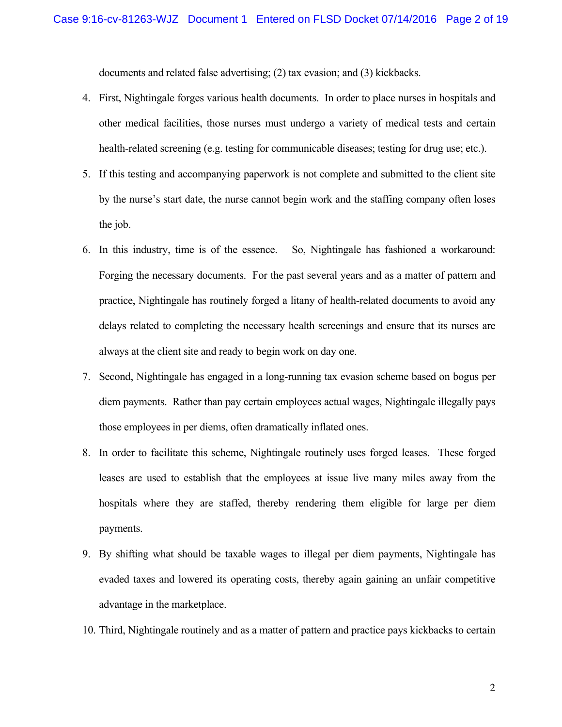documents and related false advertising; (2) tax evasion; and (3) kickbacks.

- 4. First, Nightingale forges various health documents. In order to place nurses in hospitals and other medical facilities, those nurses must undergo a variety of medical tests and certain health-related screening (e.g. testing for communicable diseases; testing for drug use; etc.).
- 5. If this testing and accompanying paperwork is not complete and submitted to the client site by the nurse's start date, the nurse cannot begin work and the staffing company often loses the job.
- 6. In this industry, time is of the essence. So, Nightingale has fashioned a workaround: Forging the necessary documents. For the past several years and as a matter of pattern and practice, Nightingale has routinely forged a litany of health-related documents to avoid any delays related to completing the necessary health screenings and ensure that its nurses are always at the client site and ready to begin work on day one.
- 7. Second, Nightingale has engaged in a long-running tax evasion scheme based on bogus per diem payments. Rather than pay certain employees actual wages, Nightingale illegally pays those employees in per diems, often dramatically inflated ones.
- 8. In order to facilitate this scheme, Nightingale routinely uses forged leases. These forged leases are used to establish that the employees at issue live many miles away from the hospitals where they are staffed, thereby rendering them eligible for large per diem payments.
- 9. By shifting what should be taxable wages to illegal per diem payments, Nightingale has evaded taxes and lowered its operating costs, thereby again gaining an unfair competitive advantage in the marketplace.
- 10. Third, Nightingale routinely and as a matter of pattern and practice pays kickbacks to certain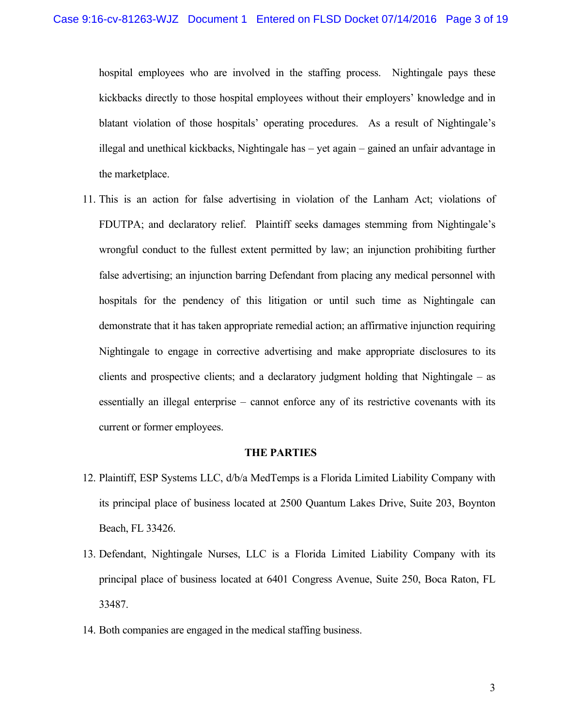hospital employees who are involved in the staffing process. Nightingale pays these kickbacks directly to those hospital employees without their employers' knowledge and in blatant violation of those hospitals' operating procedures. As a result of Nightingale's illegal and unethical kickbacks, Nightingale has – yet again – gained an unfair advantage in the marketplace.

11. This is an action for false advertising in violation of the Lanham Act; violations of FDUTPA; and declaratory relief. Plaintiff seeks damages stemming from Nightingale's wrongful conduct to the fullest extent permitted by law; an injunction prohibiting further false advertising; an injunction barring Defendant from placing any medical personnel with hospitals for the pendency of this litigation or until such time as Nightingale can demonstrate that it has taken appropriate remedial action; an affirmative injunction requiring Nightingale to engage in corrective advertising and make appropriate disclosures to its clients and prospective clients; and a declaratory judgment holding that Nightingale – as essentially an illegal enterprise – cannot enforce any of its restrictive covenants with its current or former employees.

#### **THE PARTIES**

- 12. Plaintiff, ESP Systems LLC, d/b/a MedTemps is a Florida Limited Liability Company with its principal place of business located at 2500 Quantum Lakes Drive, Suite 203, Boynton Beach, FL 33426.
- 13. Defendant, Nightingale Nurses, LLC is a Florida Limited Liability Company with its principal place of business located at 6401 Congress Avenue, Suite 250, Boca Raton, FL 33487.
- 14. Both companies are engaged in the medical staffing business.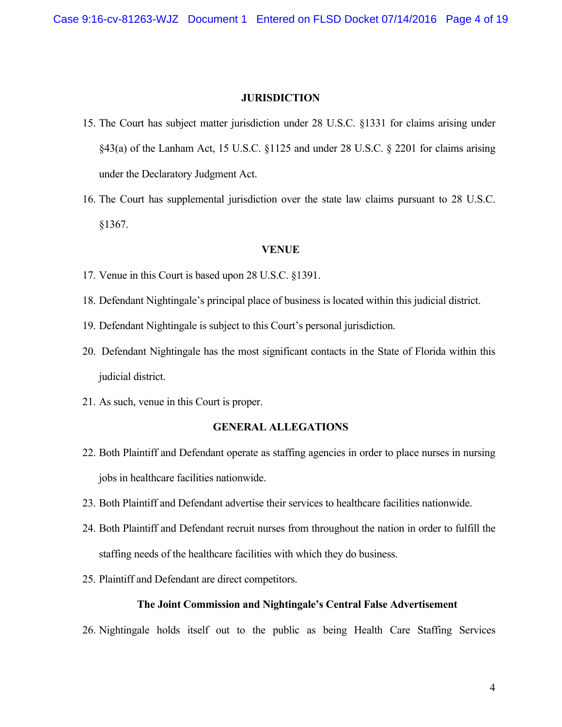#### **JURISDICTION**

- 15. The Court has subject matter jurisdiction under 28 U.S.C. §1331 for claims arising under §43(a) of the Lanham Act, 15 U.S.C. §1125 and under 28 U.S.C. § 2201 for claims arising under the Declaratory Judgment Act.
- 16. The Court has supplemental jurisdiction over the state law claims pursuant to 28 U.S.C. §1367.

#### **VENUE**

- 17. Venue in this Court is based upon 28 U.S.C. §1391.
- 18. Defendant Nightingale's principal place of business is located within this judicial district.
- 19. Defendant Nightingale is subject to this Court's personal jurisdiction.
- 20. Defendant Nightingale has the most significant contacts in the State of Florida within this judicial district.
- 21. As such, venue in this Court is proper.

#### **GENERAL ALLEGATIONS**

- 22. Both Plaintiff and Defendant operate as staffing agencies in order to place nurses in nursing jobs in healthcare facilities nationwide.
- 23. Both Plaintiff and Defendant advertise their services to healthcare facilities nationwide.
- 24. Both Plaintiff and Defendant recruit nurses from throughout the nation in order to fulfill the staffing needs of the healthcare facilities with which they do business.
- 25. Plaintiff and Defendant are direct competitors.

#### **The Joint Commission and Nightingale's Central False Advertisement**

26. Nightingale holds itself out to the public as being Health Care Staffing Services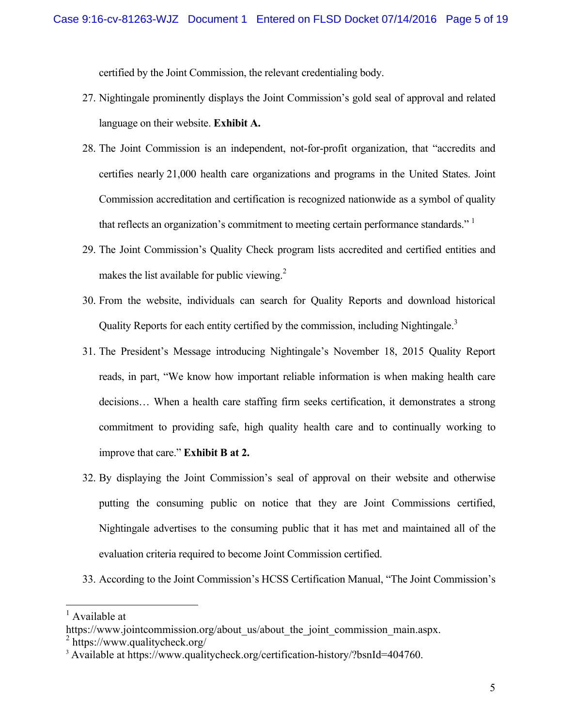certified by the Joint Commission, the relevant credentialing body.

- 27. Nightingale prominently displays the Joint Commission's gold seal of approval and related language on their website. **Exhibit A.**
- 28. The Joint Commission is an independent, not-for-profit organization, that "accredits and certifies nearly 21,000 health care organizations and programs in the United States. Joint Commission accreditation and certification is recognized nationwide as a symbol of quality that reflects an organization's commitment to meeting certain performance standards."<sup>1</sup>
- 29. The Joint Commission's Quality Check program lists accredited and certified entities and makes the list available for public viewing. $^{2}$
- 30. From the website, individuals can search for Quality Reports and download historical Quality Reports for each entity certified by the commission, including Nightingale.<sup>3</sup>
- 31. The President's Message introducing Nightingale's November 18, 2015 Quality Report reads, in part, "We know how important reliable information is when making health care decisions… When a health care staffing firm seeks certification, it demonstrates a strong commitment to providing safe, high quality health care and to continually working to improve that care." **Exhibit B at 2.**
- 32. By displaying the Joint Commission's seal of approval on their website and otherwise putting the consuming public on notice that they are Joint Commissions certified, Nightingale advertises to the consuming public that it has met and maintained all of the evaluation criteria required to become Joint Commission certified.
- 33. According to the Joint Commission's HCSS Certification Manual, "The Joint Commission's

 $<sup>1</sup>$  Available at</sup>

https://www.jointcommission.org/about\_us/about\_the\_joint\_commission\_main.aspx.

<sup>2</sup> https://www.qualitycheck.org/

<sup>&</sup>lt;sup>3</sup> Available at https://www.qualitycheck.org/certification-history/?bsnId=404760.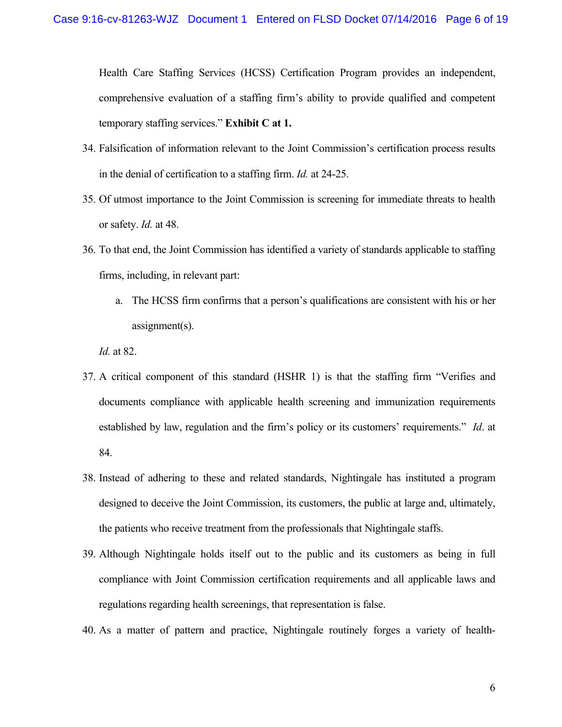Health Care Staffing Services (HCSS) Certification Program provides an independent, comprehensive evaluation of a staffing firm's ability to provide qualified and competent temporary staffing services." **Exhibit C at 1.**

- 34. Falsification of information relevant to the Joint Commission's certification process results in the denial of certification to a staffing firm. *Id.* at 24-25.
- 35. Of utmost importance to the Joint Commission is screening for immediate threats to health or safety. *Id.* at 48.
- 36. To that end, the Joint Commission has identified a variety of standards applicable to staffing firms, including, in relevant part:
	- a. The HCSS firm confirms that a person's qualifications are consistent with his or her assignment(s).

*Id.* at 82.

- 37. A critical component of this standard (HSHR 1) is that the staffing firm "Verifies and documents compliance with applicable health screening and immunization requirements established by law, regulation and the firm's policy or its customers' requirements." *Id*. at 84.
- 38. Instead of adhering to these and related standards, Nightingale has instituted a program designed to deceive the Joint Commission, its customers, the public at large and, ultimately, the patients who receive treatment from the professionals that Nightingale staffs.
- 39. Although Nightingale holds itself out to the public and its customers as being in full compliance with Joint Commission certification requirements and all applicable laws and regulations regarding health screenings, that representation is false.
- 40. As a matter of pattern and practice, Nightingale routinely forges a variety of health-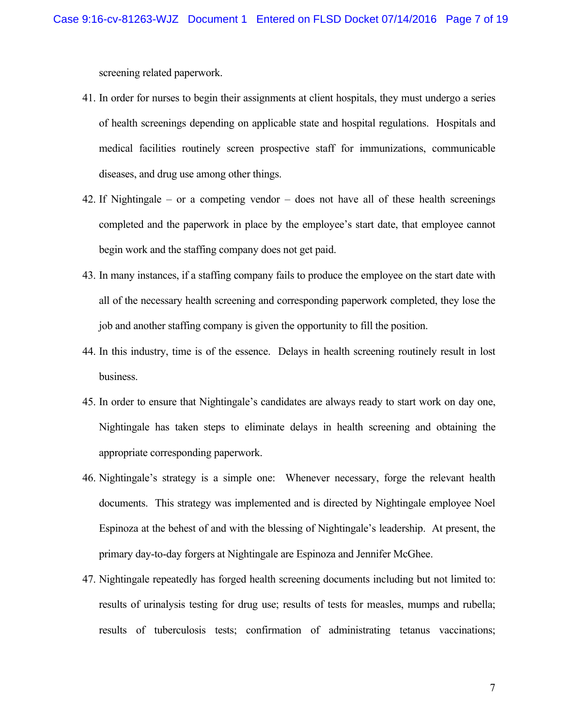screening related paperwork.

- 41. In order for nurses to begin their assignments at client hospitals, they must undergo a series of health screenings depending on applicable state and hospital regulations. Hospitals and medical facilities routinely screen prospective staff for immunizations, communicable diseases, and drug use among other things.
- 42. If Nightingale or a competing vendor does not have all of these health screenings completed and the paperwork in place by the employee's start date, that employee cannot begin work and the staffing company does not get paid.
- 43. In many instances, if a staffing company fails to produce the employee on the start date with all of the necessary health screening and corresponding paperwork completed, they lose the job and another staffing company is given the opportunity to fill the position.
- 44. In this industry, time is of the essence. Delays in health screening routinely result in lost business.
- 45. In order to ensure that Nightingale's candidates are always ready to start work on day one, Nightingale has taken steps to eliminate delays in health screening and obtaining the appropriate corresponding paperwork.
- 46. Nightingale's strategy is a simple one: Whenever necessary, forge the relevant health documents. This strategy was implemented and is directed by Nightingale employee Noel Espinoza at the behest of and with the blessing of Nightingale's leadership. At present, the primary day-to-day forgers at Nightingale are Espinoza and Jennifer McGhee.
- 47. Nightingale repeatedly has forged health screening documents including but not limited to: results of urinalysis testing for drug use; results of tests for measles, mumps and rubella; results of tuberculosis tests; confirmation of administrating tetanus vaccinations;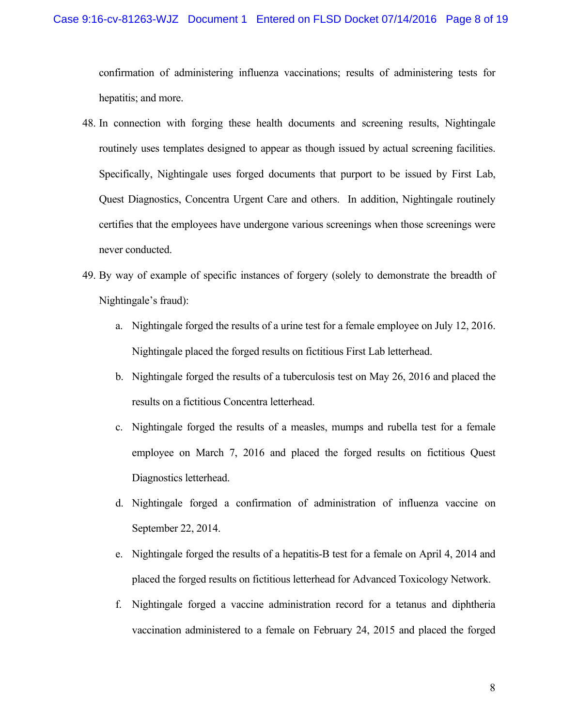confirmation of administering influenza vaccinations; results of administering tests for hepatitis; and more.

- 48. In connection with forging these health documents and screening results, Nightingale routinely uses templates designed to appear as though issued by actual screening facilities. Specifically, Nightingale uses forged documents that purport to be issued by First Lab, Quest Diagnostics, Concentra Urgent Care and others. In addition, Nightingale routinely certifies that the employees have undergone various screenings when those screenings were never conducted.
- 49. By way of example of specific instances of forgery (solely to demonstrate the breadth of Nightingale's fraud):
	- a. Nightingale forged the results of a urine test for a female employee on July 12, 2016. Nightingale placed the forged results on fictitious First Lab letterhead.
	- b. Nightingale forged the results of a tuberculosis test on May 26, 2016 and placed the results on a fictitious Concentra letterhead.
	- c. Nightingale forged the results of a measles, mumps and rubella test for a female employee on March 7, 2016 and placed the forged results on fictitious Quest Diagnostics letterhead.
	- d. Nightingale forged a confirmation of administration of influenza vaccine on September 22, 2014.
	- e. Nightingale forged the results of a hepatitis-B test for a female on April 4, 2014 and placed the forged results on fictitious letterhead for Advanced Toxicology Network.
	- f. Nightingale forged a vaccine administration record for a tetanus and diphtheria vaccination administered to a female on February 24, 2015 and placed the forged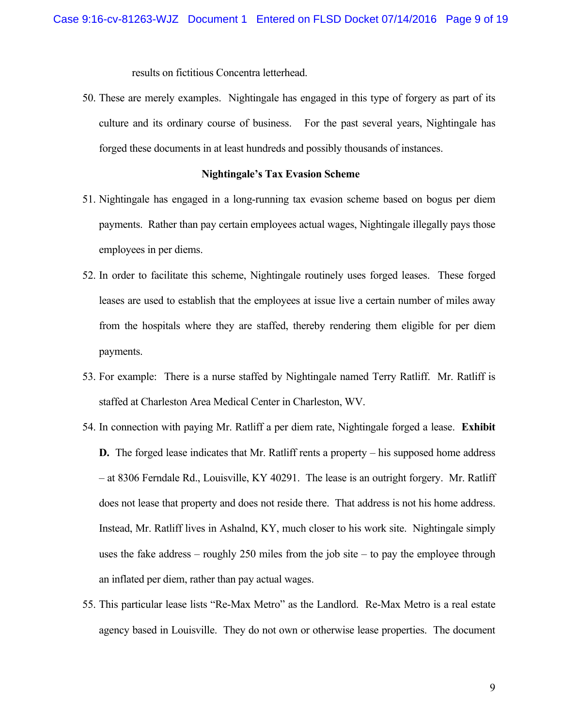results on fictitious Concentra letterhead.

50. These are merely examples. Nightingale has engaged in this type of forgery as part of its culture and its ordinary course of business. For the past several years, Nightingale has forged these documents in at least hundreds and possibly thousands of instances.

### **Nightingale's Tax Evasion Scheme**

- 51. Nightingale has engaged in a long-running tax evasion scheme based on bogus per diem payments. Rather than pay certain employees actual wages, Nightingale illegally pays those employees in per diems.
- 52. In order to facilitate this scheme, Nightingale routinely uses forged leases. These forged leases are used to establish that the employees at issue live a certain number of miles away from the hospitals where they are staffed, thereby rendering them eligible for per diem payments.
- 53. For example: There is a nurse staffed by Nightingale named Terry Ratliff. Mr. Ratliff is staffed at Charleston Area Medical Center in Charleston, WV.
- 54. In connection with paying Mr. Ratliff a per diem rate, Nightingale forged a lease. **Exhibit D.** The forged lease indicates that Mr. Ratliff rents a property – his supposed home address – at 8306 Ferndale Rd., Louisville, KY 40291. The lease is an outright forgery. Mr. Ratliff does not lease that property and does not reside there. That address is not his home address. Instead, Mr. Ratliff lives in Ashalnd, KY, much closer to his work site. Nightingale simply uses the fake address – roughly 250 miles from the job site – to pay the employee through an inflated per diem, rather than pay actual wages.
- 55. This particular lease lists "Re-Max Metro" as the Landlord. Re-Max Metro is a real estate agency based in Louisville. They do not own or otherwise lease properties. The document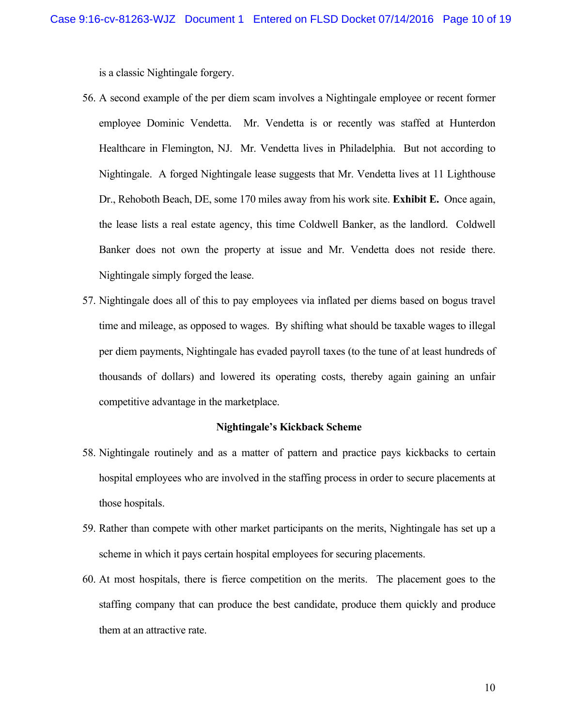is a classic Nightingale forgery.

- 56. A second example of the per diem scam involves a Nightingale employee or recent former employee Dominic Vendetta. Mr. Vendetta is or recently was staffed at Hunterdon Healthcare in Flemington, NJ. Mr. Vendetta lives in Philadelphia. But not according to Nightingale. A forged Nightingale lease suggests that Mr. Vendetta lives at 11 Lighthouse Dr., Rehoboth Beach, DE, some 170 miles away from his work site. **Exhibit E.** Once again, the lease lists a real estate agency, this time Coldwell Banker, as the landlord. Coldwell Banker does not own the property at issue and Mr. Vendetta does not reside there. Nightingale simply forged the lease.
- 57. Nightingale does all of this to pay employees via inflated per diems based on bogus travel time and mileage, as opposed to wages. By shifting what should be taxable wages to illegal per diem payments, Nightingale has evaded payroll taxes (to the tune of at least hundreds of thousands of dollars) and lowered its operating costs, thereby again gaining an unfair competitive advantage in the marketplace.

#### **Nightingale's Kickback Scheme**

- 58. Nightingale routinely and as a matter of pattern and practice pays kickbacks to certain hospital employees who are involved in the staffing process in order to secure placements at those hospitals.
- 59. Rather than compete with other market participants on the merits, Nightingale has set up a scheme in which it pays certain hospital employees for securing placements.
- 60. At most hospitals, there is fierce competition on the merits. The placement goes to the staffing company that can produce the best candidate, produce them quickly and produce them at an attractive rate.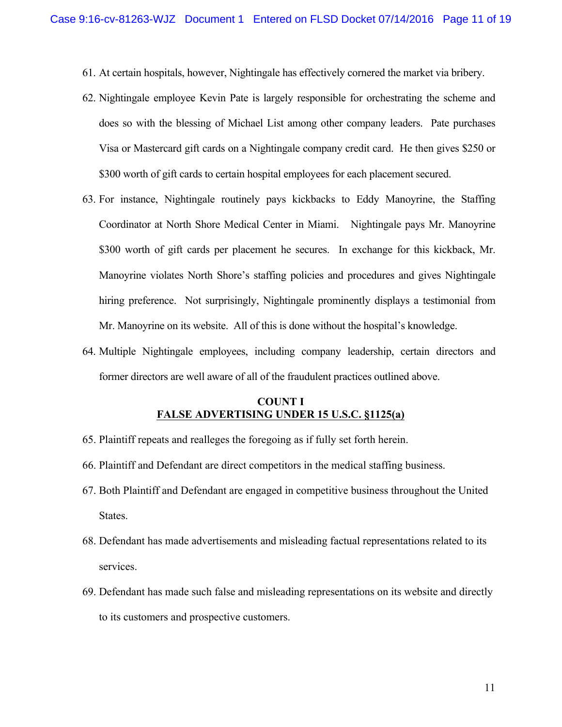- 61. At certain hospitals, however, Nightingale has effectively cornered the market via bribery.
- 62. Nightingale employee Kevin Pate is largely responsible for orchestrating the scheme and does so with the blessing of Michael List among other company leaders. Pate purchases Visa or Mastercard gift cards on a Nightingale company credit card. He then gives \$250 or \$300 worth of gift cards to certain hospital employees for each placement secured.
- 63. For instance, Nightingale routinely pays kickbacks to Eddy Manoyrine, the Staffing Coordinator at North Shore Medical Center in Miami. Nightingale pays Mr. Manoyrine \$300 worth of gift cards per placement he secures. In exchange for this kickback, Mr. Manoyrine violates North Shore's staffing policies and procedures and gives Nightingale hiring preference. Not surprisingly, Nightingale prominently displays a testimonial from Mr. Manoyrine on its website. All of this is done without the hospital's knowledge.
- 64. Multiple Nightingale employees, including company leadership, certain directors and former directors are well aware of all of the fraudulent practices outlined above.

### **COUNT I FALSE ADVERTISING UNDER 15 U.S.C. §1125(a)**

- 65. Plaintiff repeats and realleges the foregoing as if fully set forth herein.
- 66. Plaintiff and Defendant are direct competitors in the medical staffing business.
- 67. Both Plaintiff and Defendant are engaged in competitive business throughout the United States.
- 68. Defendant has made advertisements and misleading factual representations related to its services.
- 69. Defendant has made such false and misleading representations on its website and directly to its customers and prospective customers.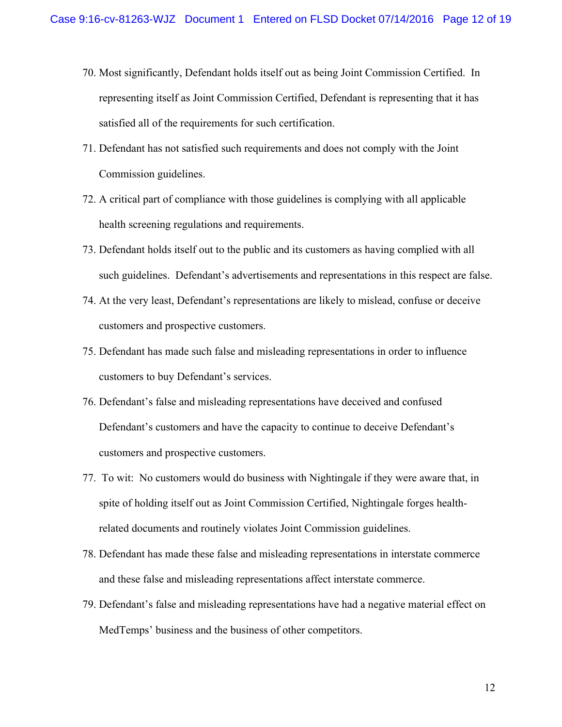- 70. Most significantly, Defendant holds itself out as being Joint Commission Certified. In representing itself as Joint Commission Certified, Defendant is representing that it has satisfied all of the requirements for such certification.
- 71. Defendant has not satisfied such requirements and does not comply with the Joint Commission guidelines.
- 72. A critical part of compliance with those guidelines is complying with all applicable health screening regulations and requirements.
- 73. Defendant holds itself out to the public and its customers as having complied with all such guidelines. Defendant's advertisements and representations in this respect are false.
- 74. At the very least, Defendant's representations are likely to mislead, confuse or deceive customers and prospective customers.
- 75. Defendant has made such false and misleading representations in order to influence customers to buy Defendant's services.
- 76. Defendant's false and misleading representations have deceived and confused Defendant's customers and have the capacity to continue to deceive Defendant's customers and prospective customers.
- 77. To wit: No customers would do business with Nightingale if they were aware that, in spite of holding itself out as Joint Commission Certified, Nightingale forges healthrelated documents and routinely violates Joint Commission guidelines.
- 78. Defendant has made these false and misleading representations in interstate commerce and these false and misleading representations affect interstate commerce.
- 79. Defendant's false and misleading representations have had a negative material effect on MedTemps' business and the business of other competitors.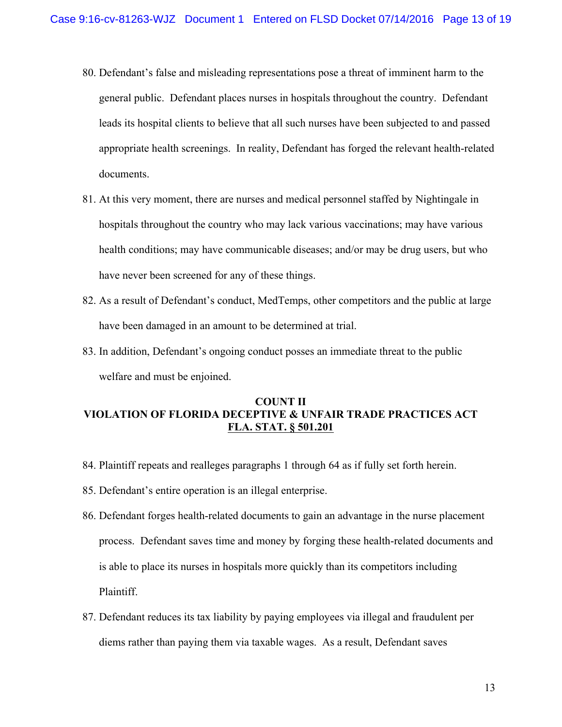- 80. Defendant's false and misleading representations pose a threat of imminent harm to the general public. Defendant places nurses in hospitals throughout the country. Defendant leads its hospital clients to believe that all such nurses have been subjected to and passed appropriate health screenings. In reality, Defendant has forged the relevant health-related documents.
- 81. At this very moment, there are nurses and medical personnel staffed by Nightingale in hospitals throughout the country who may lack various vaccinations; may have various health conditions; may have communicable diseases; and/or may be drug users, but who have never been screened for any of these things.
- 82. As a result of Defendant's conduct, MedTemps, other competitors and the public at large have been damaged in an amount to be determined at trial.
- 83. In addition, Defendant's ongoing conduct posses an immediate threat to the public welfare and must be enjoined.

# **COUNT II VIOLATION OF FLORIDA DECEPTIVE & UNFAIR TRADE PRACTICES ACT FLA. STAT. § 501.201**

- 84. Plaintiff repeats and realleges paragraphs 1 through 64 as if fully set forth herein.
- 85. Defendant's entire operation is an illegal enterprise.
- 86. Defendant forges health-related documents to gain an advantage in the nurse placement process. Defendant saves time and money by forging these health-related documents and is able to place its nurses in hospitals more quickly than its competitors including Plaintiff.
- 87. Defendant reduces its tax liability by paying employees via illegal and fraudulent per diems rather than paying them via taxable wages. As a result, Defendant saves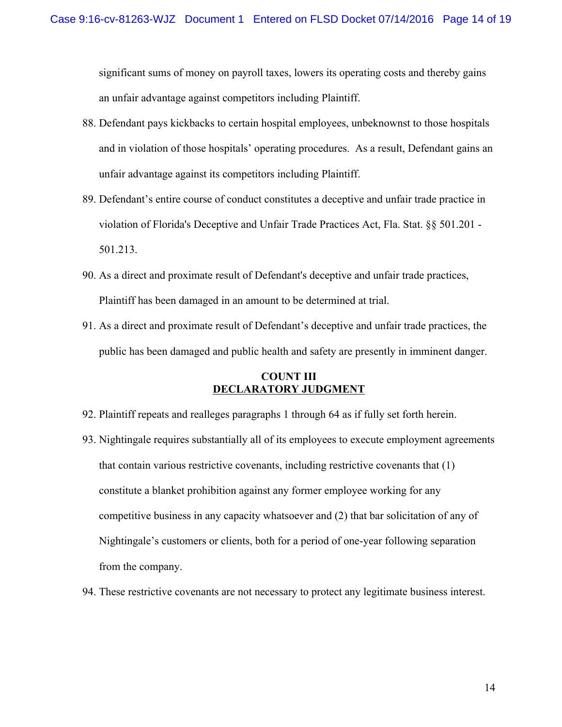significant sums of money on payroll taxes, lowers its operating costs and thereby gains an unfair advantage against competitors including Plaintiff.

- 88. Defendant pays kickbacks to certain hospital employees, unbeknownst to those hospitals and in violation of those hospitals' operating procedures. As a result, Defendant gains an unfair advantage against its competitors including Plaintiff.
- 89. Defendant's entire course of conduct constitutes a deceptive and unfair trade practice in violation of Florida's Deceptive and Unfair Trade Practices Act, Fla. Stat. §§ 501.201 - 501.213.
- 90. As a direct and proximate result of Defendant's deceptive and unfair trade practices, Plaintiff has been damaged in an amount to be determined at trial.
- 91. As a direct and proximate result of Defendant's deceptive and unfair trade practices, the public has been damaged and public health and safety are presently in imminent danger.

## **COUNT III DECLARATORY JUDGMENT**

- 92. Plaintiff repeats and realleges paragraphs 1 through 64 as if fully set forth herein.
- 93. Nightingale requires substantially all of its employees to execute employment agreements that contain various restrictive covenants, including restrictive covenants that (1) constitute a blanket prohibition against any former employee working for any competitive business in any capacity whatsoever and (2) that bar solicitation of any of Nightingale's customers or clients, both for a period of one-year following separation from the company.
- 94. These restrictive covenants are not necessary to protect any legitimate business interest.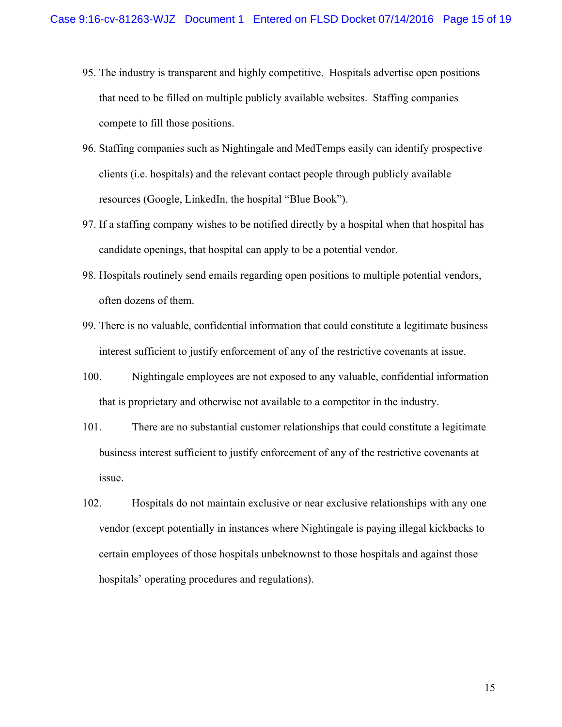- 95. The industry is transparent and highly competitive. Hospitals advertise open positions that need to be filled on multiple publicly available websites. Staffing companies compete to fill those positions.
- 96. Staffing companies such as Nightingale and MedTemps easily can identify prospective clients (i.e. hospitals) and the relevant contact people through publicly available resources (Google, LinkedIn, the hospital "Blue Book").
- 97. If a staffing company wishes to be notified directly by a hospital when that hospital has candidate openings, that hospital can apply to be a potential vendor.
- 98. Hospitals routinely send emails regarding open positions to multiple potential vendors, often dozens of them.
- 99. There is no valuable, confidential information that could constitute a legitimate business interest sufficient to justify enforcement of any of the restrictive covenants at issue.
- 100. Nightingale employees are not exposed to any valuable, confidential information that is proprietary and otherwise not available to a competitor in the industry.
- 101. There are no substantial customer relationships that could constitute a legitimate business interest sufficient to justify enforcement of any of the restrictive covenants at issue.
- 102. Hospitals do not maintain exclusive or near exclusive relationships with any one vendor (except potentially in instances where Nightingale is paying illegal kickbacks to certain employees of those hospitals unbeknownst to those hospitals and against those hospitals' operating procedures and regulations).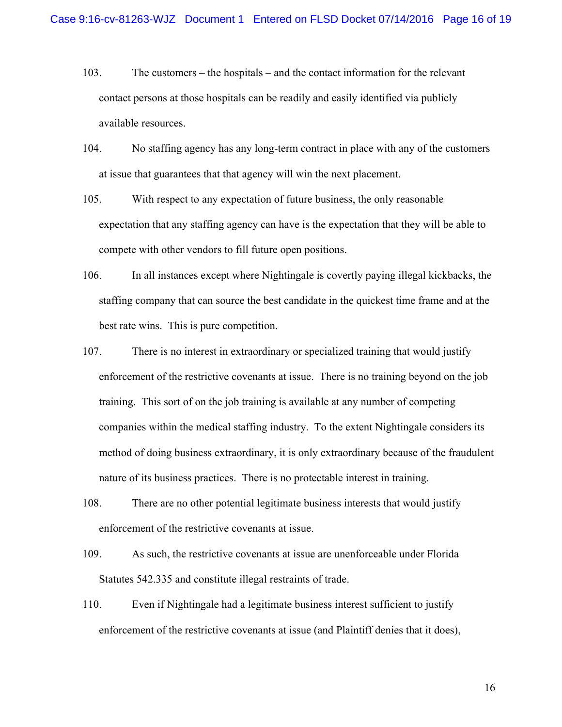- 103. The customers the hospitals and the contact information for the relevant contact persons at those hospitals can be readily and easily identified via publicly available resources.
- 104. No staffing agency has any long-term contract in place with any of the customers at issue that guarantees that that agency will win the next placement.
- 105. With respect to any expectation of future business, the only reasonable expectation that any staffing agency can have is the expectation that they will be able to compete with other vendors to fill future open positions.
- 106. In all instances except where Nightingale is covertly paying illegal kickbacks, the staffing company that can source the best candidate in the quickest time frame and at the best rate wins. This is pure competition.
- 107. There is no interest in extraordinary or specialized training that would justify enforcement of the restrictive covenants at issue. There is no training beyond on the job training. This sort of on the job training is available at any number of competing companies within the medical staffing industry. To the extent Nightingale considers its method of doing business extraordinary, it is only extraordinary because of the fraudulent nature of its business practices. There is no protectable interest in training.
- 108. There are no other potential legitimate business interests that would justify enforcement of the restrictive covenants at issue.
- 109. As such, the restrictive covenants at issue are unenforceable under Florida Statutes 542.335 and constitute illegal restraints of trade.
- 110. Even if Nightingale had a legitimate business interest sufficient to justify enforcement of the restrictive covenants at issue (and Plaintiff denies that it does),

16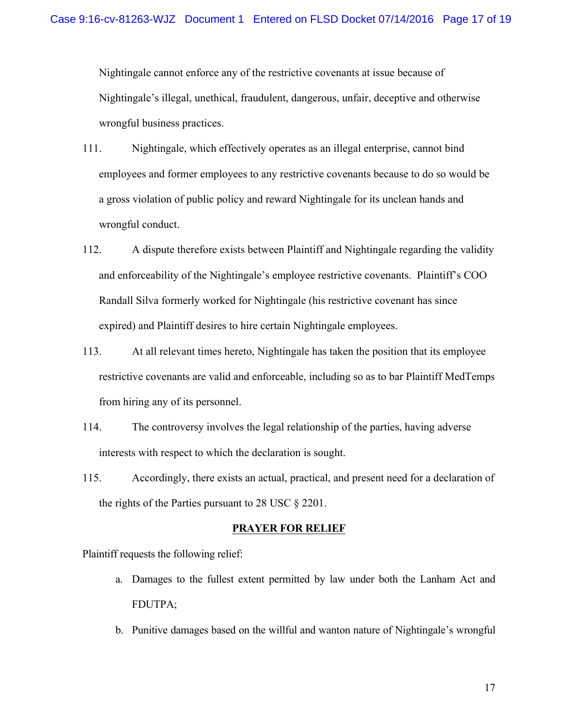Nightingale cannot enforce any of the restrictive covenants at issue because of Nightingale's illegal, unethical, fraudulent, dangerous, unfair, deceptive and otherwise wrongful business practices.

- 111. Nightingale, which effectively operates as an illegal enterprise, cannot bind employees and former employees to any restrictive covenants because to do so would be a gross violation of public policy and reward Nightingale for its unclean hands and wrongful conduct.
- 112. A dispute therefore exists between Plaintiff and Nightingale regarding the validity and enforceability of the Nightingale's employee restrictive covenants. Plaintiff's COO Randall Silva formerly worked for Nightingale (his restrictive covenant has since expired) and Plaintiff desires to hire certain Nightingale employees.
- 113. At all relevant times hereto, Nightingale has taken the position that its employee restrictive covenants are valid and enforceable, including so as to bar Plaintiff MedTemps from hiring any of its personnel.
- 114. The controversy involves the legal relationship of the parties, having adverse interests with respect to which the declaration is sought.
- 115. Accordingly, there exists an actual, practical, and present need for a declaration of the rights of the Parties pursuant to 28 USC § 2201.

#### **PRAYER FOR RELIEF**

Plaintiff requests the following relief:

- a. Damages to the fullest extent permitted by law under both the Lanham Act and FDUTPA;
- b. Punitive damages based on the willful and wanton nature of Nightingale's wrongful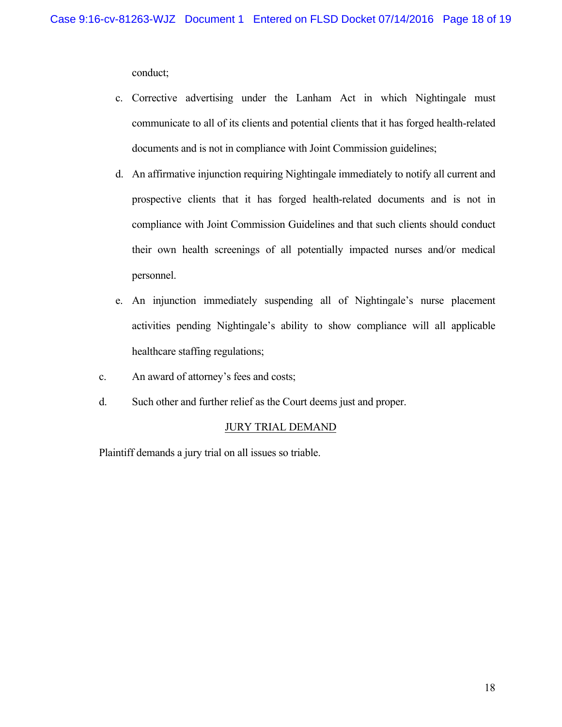conduct;

- c. Corrective advertising under the Lanham Act in which Nightingale must communicate to all of its clients and potential clients that it has forged health-related documents and is not in compliance with Joint Commission guidelines;
- d. An affirmative injunction requiring Nightingale immediately to notify all current and prospective clients that it has forged health-related documents and is not in compliance with Joint Commission Guidelines and that such clients should conduct their own health screenings of all potentially impacted nurses and/or medical personnel.
- e. An injunction immediately suspending all of Nightingale's nurse placement activities pending Nightingale's ability to show compliance will all applicable healthcare staffing regulations;
- c. An award of attorney's fees and costs;
- d. Such other and further relief as the Court deems just and proper.

## JURY TRIAL DEMAND

Plaintiff demands a jury trial on all issues so triable.